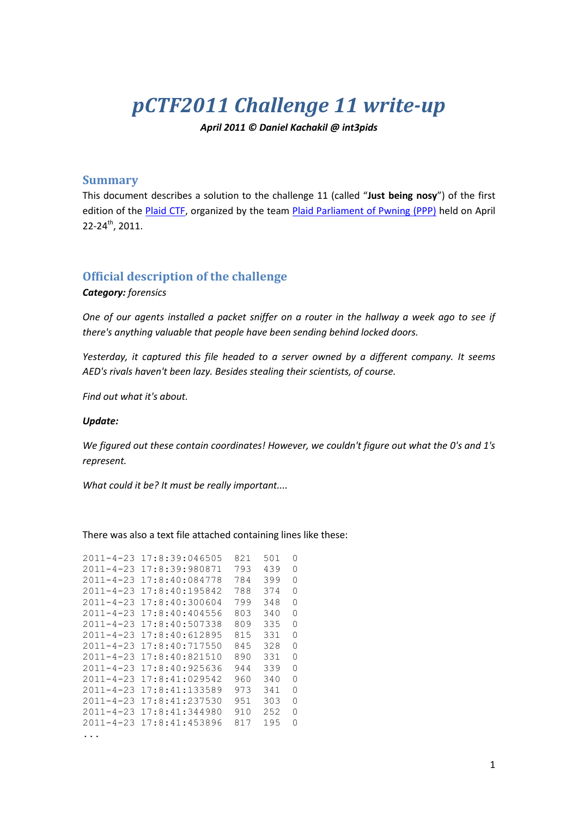# *pCTF2011 Challenge 11 write-up*

*April 2011 © Daniel Kachakil @ int3pids*

# **Summary**

This document describes a solution to the challenge 11 (called "**Just being nosy**") of the first edition of the [Plaid CTF,](http://www.plaidctf.com/) organized by the team [Plaid Parliament of Pwning](http://ppp.cylab.cmu.edu/) (PPP) held on April 22-24<sup>th</sup>, 2011.

# **Official description of the challenge**

### *Category: forensics*

*One of our agents installed a packet sniffer on a router in the hallway a week ago to see if there's anything valuable that people have been sending behind locked doors.*

*Yesterday, it captured this file headed to a server owned by a different company. It seems AED's rivals haven't been lazy. Besides stealing their scientists, of course.*

*Find out what it's about.*

#### *Update:*

*We figured out these contain coordinates! However, we couldn't figure out what the 0's and 1's represent.*

*What could it be? It must be really important....*

There was also a text file attached containing lines like these:

| $2011 - 4 - 23$ | 17:8:39:046505 | 821 | 501 | 0 |
|-----------------|----------------|-----|-----|---|
| $2011 - 4 - 23$ | 17:8:39:980871 | 793 | 439 | 0 |
| $2011 - 4 - 23$ | 17:8:40:084778 | 784 | 399 | 0 |
| $2011 - 4 - 23$ | 17:8:40:195842 | 788 | 374 | 0 |
| $2011 - 4 - 23$ | 17:8:40:300604 | 799 | 348 | 0 |
| $2011 - 4 - 23$ | 17:8:40:404556 | 803 | 340 | 0 |
| $2011 - 4 - 23$ | 17:8:40:507338 | 809 | 335 | 0 |
| $2011 - 4 - 23$ | 17:8:40:612895 | 815 | 331 | 0 |
| $2011 - 4 - 23$ | 17:8:40:717550 | 845 | 328 | 0 |
| $2011 - 4 - 23$ | 17:8:40:821510 | 890 | 331 | 0 |
| $2011 - 4 - 23$ | 17:8:40:925636 | 944 | 339 | 0 |
| $2011 - 4 - 23$ | 17:8:41:029542 | 960 | 340 | 0 |
| $2011 - 4 - 23$ | 17:8:41:133589 | 973 | 341 | 0 |
| $2011 - 4 - 23$ | 17:8:41:237530 | 951 | 303 | 0 |
| $2011 - 4 - 23$ | 17:8:41:344980 | 910 | 252 | 0 |
| $2011 - 4 - 23$ | 17:8:41:453896 | 817 | 195 | 0 |
| .               |                |     |     |   |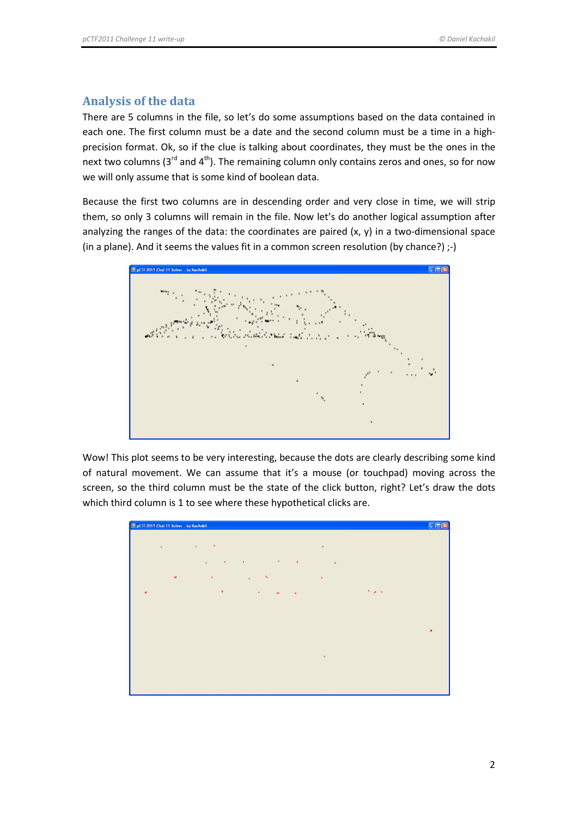# **Analysis of the data**

There are 5 columns in the file, so let's do some assumptions based on the data contained in each one. The first column must be a date and the second column must be a time in a highprecision format. Ok, so if the clue is talking about coordinates, they must be the ones in the next two columns ( $3<sup>rd</sup>$  and  $4<sup>th</sup>$ ). The remaining column only contains zeros and ones, so for now we will only assume that is some kind of boolean data.

Because the first two columns are in descending order and very close in time, we will strip them, so only 3 columns will remain in the file. Now let's do another logical assumption after analyzing the ranges of the data: the coordinates are paired (x, y) in a two-dimensional space (in a plane). And it seems the values fit in a common screen resolution (by chance?) ;-)



Wow! This plot seems to be very interesting, because the dots are clearly describing some kind of natural movement. We can assume that it's a mouse (or touchpad) moving across the screen, so the third column must be the state of the click button, right? Let's draw the dots which third column is 1 to see where these hypothetical clicks are.

| P pCTF2011 Chal 11 Solver - by Kachakil |                                                                                                                                                                                   | $\square$ D $\times$ |
|-----------------------------------------|-----------------------------------------------------------------------------------------------------------------------------------------------------------------------------------|----------------------|
|                                         |                                                                                                                                                                                   |                      |
| $^{\circ}$ x $^{\circ}$                 | $\mathbf{x}$<br>$\sim 100$ K $_{\odot}$<br>$\mathbf{x}$                                                                                                                           |                      |
|                                         |                                                                                                                                                                                   |                      |
|                                         | $\mathbf{y} = \mathbf{y} \in \mathbf{X}$ , we have $\mathbf{x}$<br>$\mathbf{z} = \mathbf{z} \times \mathbf{z}$ . The $\mathbf{z}$<br>$\mathbf{x}$<br>$\mathbf{x}$<br>$\mathbf{x}$ |                      |
| $\pmb{\ast}$                            | $\mathbf{x}_{\mathbf{X}}$<br>$\mathbf{x}$<br>$\mathbf{x}^{\top}$<br>$\mathbf{x}$                                                                                                  |                      |
|                                         | $\mathbf{x} = \mathbf{g} \mathbf{x}$<br>$\mathbf{R}_\parallel$                                                                                                                    |                      |
| $\boldsymbol{\ast}$                     | $\mathbf{x}$<br>$\mathbf{w}$<br>$\sim$ 80                                                                                                                                         |                      |
|                                         |                                                                                                                                                                                   |                      |
|                                         |                                                                                                                                                                                   |                      |
|                                         |                                                                                                                                                                                   | $\pmb{x}$            |
|                                         |                                                                                                                                                                                   |                      |
|                                         |                                                                                                                                                                                   |                      |
|                                         | $\mathbf{x}$                                                                                                                                                                      |                      |
|                                         |                                                                                                                                                                                   |                      |
|                                         |                                                                                                                                                                                   |                      |
|                                         |                                                                                                                                                                                   |                      |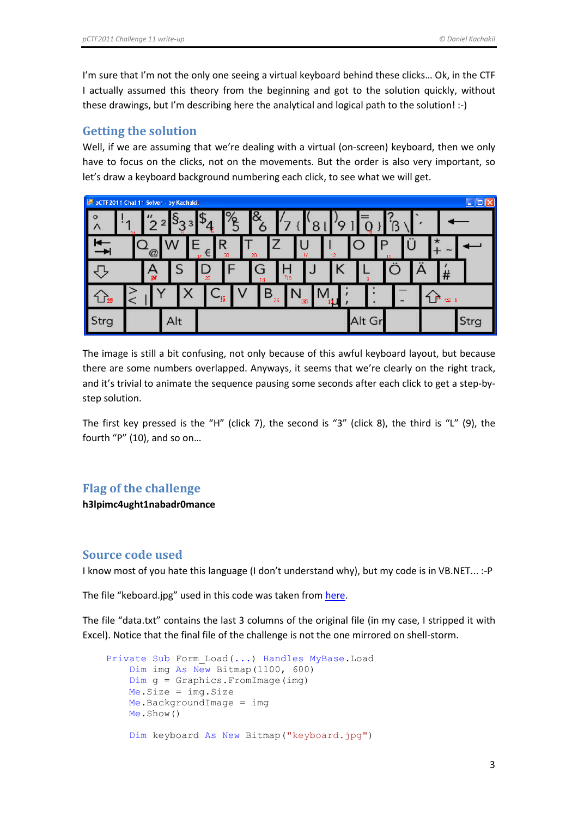I'm sure that I'm not the only one seeing a virtual keyboard behind these clicks... Ok, in the CTF I actually assumed this theory from the beginning and got to the solution quickly, without these drawings, but I'm describing here the analytical and logical path to the solution! :-)

## **Getting the solution**

Well, if we are assuming that we're dealing with a virtual (on-screen) keyboard, then we only have to focus on the clicks, not on the movements. But the order is also very important, so let's draw a keyboard background numbering each click, to see what we will get.

| PCTF2011 Chal 11 Solver - by Kachakil<br>×. |                      |                |     |        |         |                    |         |         |                     |     |    |        |    |   |         |                 |      |
|---------------------------------------------|----------------------|----------------|-----|--------|---------|--------------------|---------|---------|---------------------|-----|----|--------|----|---|---------|-----------------|------|
| $\circ$<br>$\mathsf{L}$                     | $\cdot$ <sub>4</sub> | $\prime\prime$ |     | P<br>З | 16      | $\mathsf{O}/$<br>O | &<br>O  |         |                     | 8   |    |        |    |   |         |                 |      |
|                                             | $\bullet$            | $\omega$       |     | 37     | R<br>€  | 30                 | 20      |         |                     | 17  | 12 | P      | 10 | U | $\star$ | $\sim$          |      |
|                                             |                      | $\frac{A}{x}$  |     |        | D<br>28 |                    | G<br>18 |         | $\mathbf{L}$<br>719 |     | κ  | 9      |    |   |         | #               |      |
| $\mathbb{L}$ $\mathbb{B}$                   |                      |                |     | 7      | 一姐      | V                  |         | B<br>26 | ΙN                  | 235 |    |        |    |   | ግ ጦ     | $\beta$ $\beta$ |      |
| Strg                                        |                      |                | Alt |        |         |                    |         |         |                     |     |    | Alt Gr |    |   |         |                 | Strg |

The image is still a bit confusing, not only because of this awful keyboard layout, but because there are some numbers overlapped. Anyways, it seems that we're clearly on the right track, and it's trivial to animate the sequence pausing some seconds after each click to get a step-bystep solution.

The first key pressed is the "H" (click 7), the second is "3" (click 8), the third is "L" (9), the fourth "P" (10), and so on…

# **Flag of the challenge**

**h3lpimc4ught1nabadr0mance**

# **Source code used**

I know most of you hate this language (I don't understand why), but my code is in VB.NET... :-P

The file "keboard.jpg" used in this code was taken from [here.](http://tech2techtalk.files.wordpress.com/2010/03/keyboard.jpg)

The file "data.txt" contains the last 3 columns of the original file (in my case, I stripped it with Excel). Notice that the final file of the challenge is not the one mirrored on shell-storm.

```
 Private Sub Form_Load(...) Handles MyBase.Load
    Dim img As New Bitmap(1100, 600)
    Dim g = Graphics.FromImage(img)
    Me.Size = img.Size
    Me.BackgroundImage = img
    Me.Show()
    Dim keyboard As New Bitmap("keyboard.jpg")
```